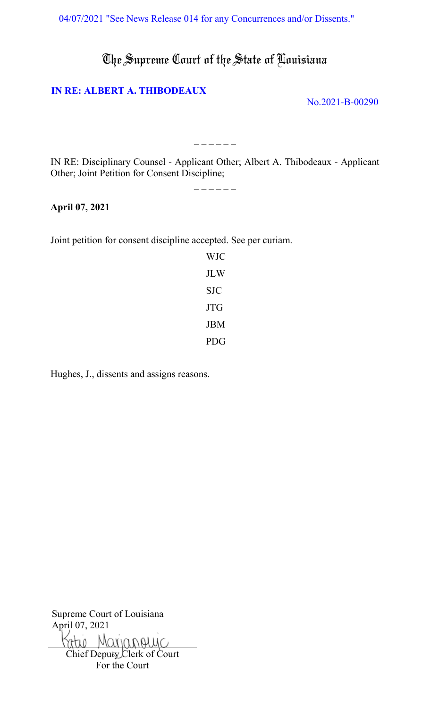[04/07/2021 "See News Release 014 for any Concurrences and/or Dissents."](https://www.lasc.org/Actions?p=2021-014)

The Supreme Court of the State of Louisiana

### **[IN RE: ALBERT A. THIBODEAUX](#page-1-0)**

No.2021-B-00290

IN RE: Disciplinary Counsel - Applicant Other; Albert A. Thibodeaux - Applicant Other; Joint Petition for Consent Discipline;

 $- - - - - -$ 

#### \_ \_ \_ \_ \_ \_

### **April 07, 2021**

Joint petition for consent discipline accepted. See per curiam.

WJC JLW SJC JTG JBM PDG

Hughes, J., dissents and assigns reasons.

Supreme Court of Louisiana April 07, 2021  $70-$ Marianguic

Chief Deputy Clerk of Court For the Court